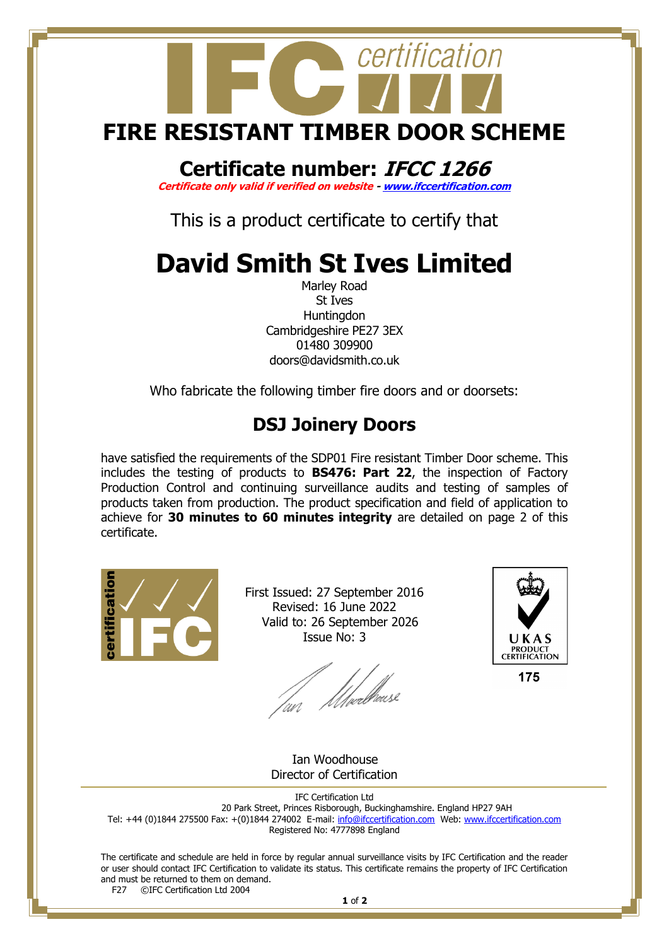

## **Certificate number: IFCC 1266**

**Certificate only valid if verified on website - [www.ifccertification.com](http://www.ifccertification.com/)**

This is a product certificate to certify that

## **David Smith St Ives Limited**

Marley Road St Ives **Huntingdon** Cambridgeshire PE27 3EX 01480 309900 doors@davidsmith.co.uk

Who fabricate the following timber fire doors and or doorsets:

## **DSJ Joinery Doors**

have satisfied the requirements of the SDP01 Fire resistant Timber Door scheme. This includes the testing of products to **BS476: Part 22**, the inspection of Factory Production Control and continuing surveillance audits and testing of samples of products taken from production. The product specification and field of application to achieve for **30 minutes to 60 minutes integrity** are detailed on page 2 of this certificate.



First Issued: 27 September 2016 Revised: 16 June 2022 Valid to: 26 September 2026 Issue No: 3

lan Moedhouse



175

 Ian Woodhouse Director of Certification

IFC Certification Ltd 20 Park Street, Princes Risborough, Buckinghamshire. England HP27 9AH Tel: +44 (0)1844 275500 Fax: +(0)1844 274002 E-mail[: info@ifccertification.com](mailto:info@ifccertification.com) Web: [www.ifccertification.com](http://www.ifccertification.com/) Registered No: 4777898 England

The certificate and schedule are held in force by regular annual surveillance visits by IFC Certification and the reader or user should contact IFC Certification to validate its status. This certificate remains the property of IFC Certification and must be returned to them on demand.<br> $F27$  © TEC Certification Ltd 2004 ©IFC Certification Ltd 2004

**1** of **2**